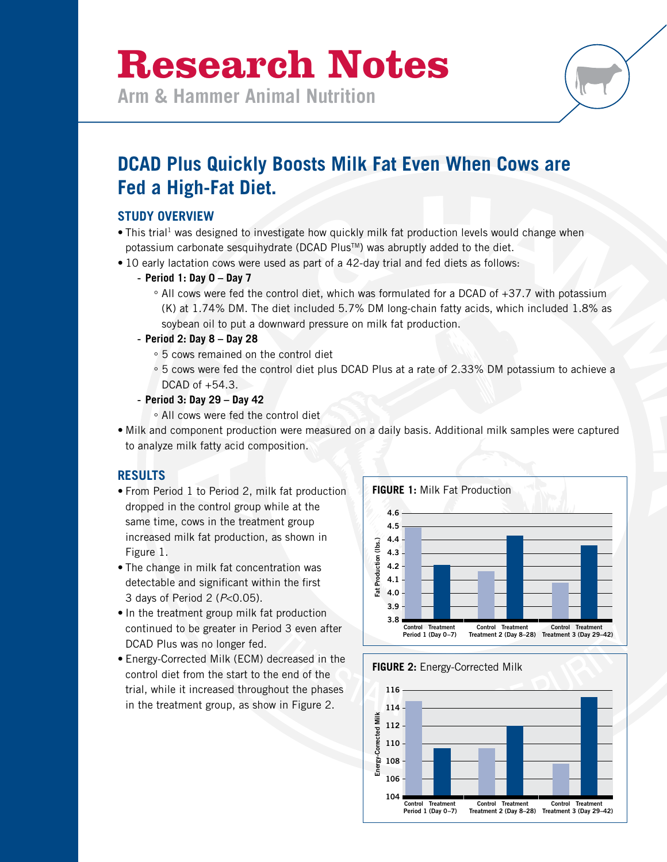# **Research Notes**

**Arm & Hammer Animal Nutrition**

# **DCAD Plus Quickly Boosts Milk Fat Even When Cows are Fed a High-Fat Diet.**

### **STUDY OVERVIEW**

- This trial<sup>1</sup> was designed to investigate how quickly milk fat production levels would change when potassium carbonate sesquihydrate (DCAD Plus<sup>TM</sup>) was abruptly added to the diet.
- 10 early lactation cows were used as part of a 42-day trial and fed diets as follows:

#### - **Period 1: Day 0 – Day 7**

° All cows were fed the control diet, which was formulated for a DCAD of +37.7 with potassium (K) at 1.74% DM. The diet included 5.7% DM long-chain fatty acids, which included 1.8% as soybean oil to put a downward pressure on milk fat production.

#### - **Period 2: Day 8 – Day 28**

- ° 5 cows remained on the control diet
- ° 5 cows were fed the control diet plus DCAD Plus at a rate of 2.33% DM potassium to achieve a DCAD of +54.3.
- **Period 3: Day 29 Day 42**
	- ° All cows were fed the control diet
- Milk and component production were measured on a daily basis. Additional milk samples were captured to analyze milk fatty acid composition.

## **RESULTS**

- From Period 1 to Period 2, milk fat production dropped in the control group while at the same time, cows in the treatment group increased milk fat production, as shown in Figure 1.
- The change in milk fat concentration was detectable and significant within the first 3 days of Period 2 (*P*<0.05).
- In the treatment group milk fat production continued to be greater in Period 3 even after DCAD Plus was no longer fed.
- Energy-Corrected Milk (ECM) decreased in the control diet from the start to the end of the trial, while it increased throughout the phases in the treatment group, as show in Figure 2.